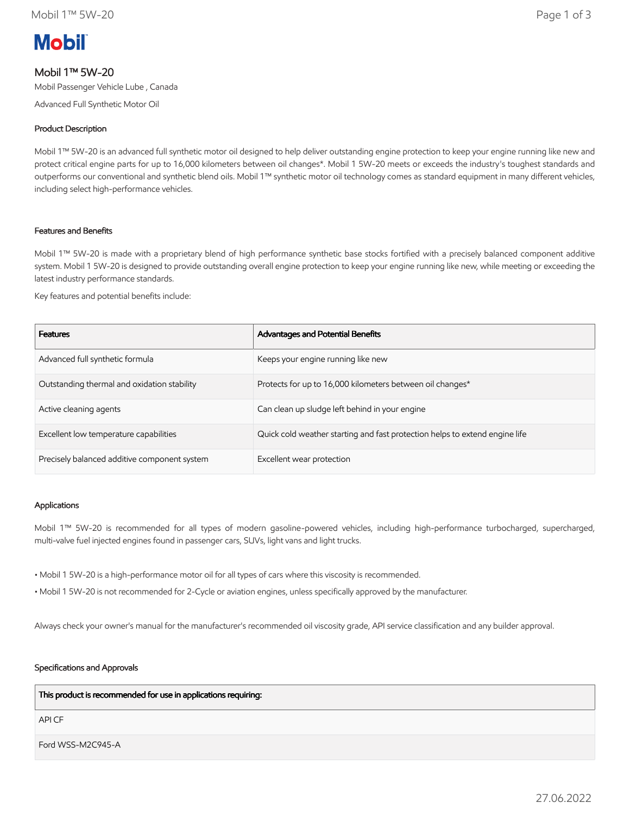# **Mobil**

# Mobil 1™ 5W-20

Mobil Passenger Vehicle Lube , Canada

Advanced Full Synthetic Motor Oil

# Product Description

Mobil 1™ 5W-20 is an advanced full synthetic motor oil designed to help deliver outstanding engine protection to keep your engine running like new and protect critical engine parts for up to 16,000 kilometers between oil changes\*. Mobil 1 5W-20 meets or exceeds the industry's toughest standards and outperforms our conventional and synthetic blend oils. Mobil 1™ synthetic motor oil technology comes as standard equipment in many different vehicles, including select high-performance vehicles.

### Features and Benefits

Mobil 1™ 5W-20 is made with a proprietary blend of high performance synthetic base stocks fortified with a precisely balanced component additive system. Mobil 1 5W-20 is designed to provide outstanding overall engine protection to keep your engine running like new, while meeting or exceeding the latest industry performance standards.

Key features and potential benefits include:

| Features                                     | Advantages and Potential Benefits                                           |
|----------------------------------------------|-----------------------------------------------------------------------------|
| Advanced full synthetic formula              | Keeps your engine running like new                                          |
| Outstanding thermal and oxidation stability  | Protects for up to 16,000 kilometers between oil changes*                   |
| Active cleaning agents                       | Can clean up sludge left behind in your engine                              |
| Excellent low temperature capabilities       | Quick cold weather starting and fast protection helps to extend engine life |
| Precisely balanced additive component system | Excellent wear protection                                                   |

#### Applications

Mobil 1™ 5W-20 is recommended for all types of modern gasoline-powered vehicles, including high-performance turbocharged, supercharged, multi-valve fuel injected engines found in passenger cars, SUVs, light vans and light trucks.

• Mobil 1 5W-20 is a high-performance motor oil for all types of cars where this viscosity is recommended.

• Mobil 1 5W-20 is not recommended for 2-Cycle or aviation engines, unless specifically approved by the manufacturer.

Always check your owner's manual for the manufacturer's recommended oil viscosity grade, API service classification and any builder approval.

#### Specifications and Approvals

#### This product is recommended for use in applications requiring:

API CF

Ford WSS-M2C945-A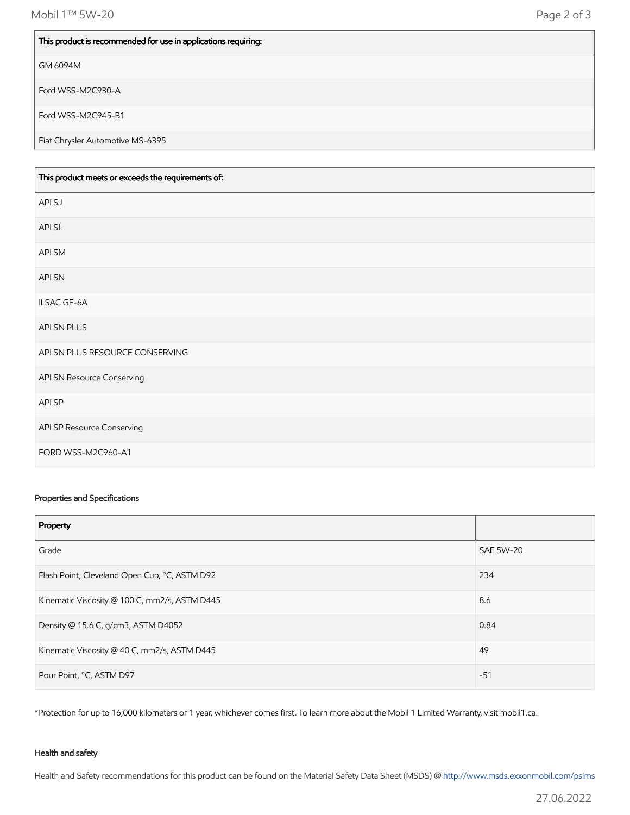Mobil 1™ 5W-20 Page 2 of 3

#### This product is recommended for use in applications requiring:

#### GM 6094M

Ford WSS-M2C930-A

Ford WSS-M2C945-B1

Fiat Chrysler Automotive MS-6395

| This product meets or exceeds the requirements of: |  |
|----------------------------------------------------|--|
| API SJ                                             |  |
| API SL                                             |  |
| API SM                                             |  |
| API SN                                             |  |
| ILSAC GF-6A                                        |  |
| API SN PLUS                                        |  |
| API SN PLUS RESOURCE CONSERVING                    |  |
| API SN Resource Conserving                         |  |
| <b>APISP</b>                                       |  |
| API SP Resource Conserving                         |  |
| FORD WSS-M2C960-A1                                 |  |

#### Properties and Specifications

| Property                                      |                  |
|-----------------------------------------------|------------------|
| Grade                                         | <b>SAE 5W-20</b> |
| Flash Point, Cleveland Open Cup, °C, ASTM D92 | 234              |
| Kinematic Viscosity @ 100 C, mm2/s, ASTM D445 | 8.6              |
| Density @ 15.6 C, g/cm3, ASTM D4052           | 0.84             |
| Kinematic Viscosity @ 40 C, mm2/s, ASTM D445  | 49               |
| Pour Point, °C, ASTM D97                      | $-51$            |

\*Protection for up to 16,000 kilometers or 1 year, whichever comes first. To learn more about the Mobil 1 Limited Warranty, visit mobil1.ca.

#### Health and safety

Health and Safety recommendations for this product can be found on the Material Safety Data Sheet (MSDS) @ [http://www.msds.exxonmobil.com/psims](http://www.msds.exxonmobil.com/psims/psims.aspx)